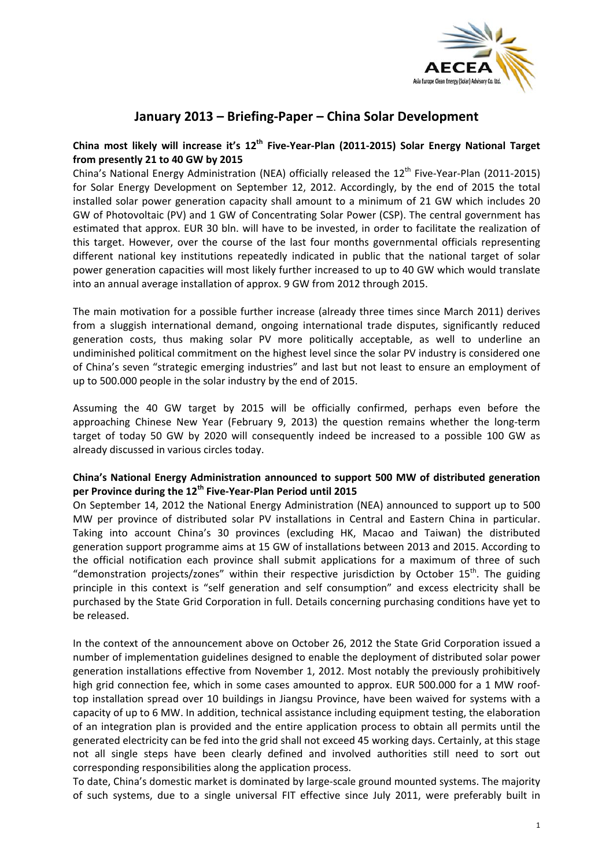

# **January 2013 – Briefing‐Paper – China Solar Development**

## China most likely will increase it's 12<sup>th</sup> Five-Year-Plan (2011-2015) Solar Energy National Target **from presently 21 to 40 GW by 2015**

China's National Energy Administration (NEA) officially released the 12<sup>th</sup> Five-Year-Plan (2011-2015) for Solar Energy Development on September 12, 2012. Accordingly, by the end of 2015 the total installed solar power generation capacity shall amount to a minimum of 21 GW which includes 20 GW of Photovoltaic (PV) and 1 GW of Concentrating Solar Power (CSP). The central government has estimated that approx. EUR 30 bln. will have to be invested, in order to facilitate the realization of this target. However, over the course of the last four months governmental officials representing different national key institutions repeatedly indicated in public that the national target of solar power generation capacities will most likely further increased to up to 40 GW which would translate into an annual average installation of approx. 9 GW from 2012 through 2015.

The main motivation for a possible further increase (already three times since March 2011) derives from a sluggish international demand, ongoing international trade disputes, significantly reduced generation costs, thus making solar PV more politically acceptable, as well to underline an undiminished political commitment on the highest level since the solar PV industry is considered one of China's seven "strategic emerging industries" and last but not least to ensure an employment of up to 500.000 people in the solar industry by the end of 2015.

Assuming the 40 GW target by 2015 will be officially confirmed, perhaps even before the approaching Chinese New Year (February 9, 2013) the question remains whether the long-term target of today 50 GW by 2020 will consequently indeed be increased to a possible 100 GW as already discussed in various circles today.

## **China's National Energy Administration announced to support 500 MW of distributed generation per Province during the 12th Five‐Year‐Plan Period until 2015**

On September 14, 2012 the National Energy Administration (NEA) announced to support up to 500 MW per province of distributed solar PV installations in Central and Eastern China in particular. Taking into account China's 30 provinces (excluding HK, Macao and Taiwan) the distributed generation support programme aims at 15 GW of installations between 2013 and 2015. According to the official notification each province shall submit applications for a maximum of three of such "demonstration projects/zones" within their respective jurisdiction by October 15<sup>th</sup>. The guiding principle in this context is "self generation and self consumption" and excess electricity shall be purchased by the State Grid Corporation in full. Details concerning purchasing conditions have yet to be released.

In the context of the announcement above on October 26, 2012 the State Grid Corporation issued a number of implementation guidelines designed to enable the deployment of distributed solar power generation installations effective from November 1, 2012. Most notably the previously prohibitively high grid connection fee, which in some cases amounted to approx. EUR 500.000 for a 1 MW rooftop installation spread over 10 buildings in Jiangsu Province, have been waived for systems with a capacity of up to 6 MW. In addition, technical assistance including equipment testing, the elaboration of an integration plan is provided and the entire application process to obtain all permits until the generated electricity can be fed into the grid shall not exceed 45 working days. Certainly, at this stage not all single steps have been clearly defined and involved authorities still need to sort out corresponding responsibilities along the application process.

To date, China's domestic market is dominated by large‐scale ground mounted systems. The majority of such systems, due to a single universal FIT effective since July 2011, were preferably built in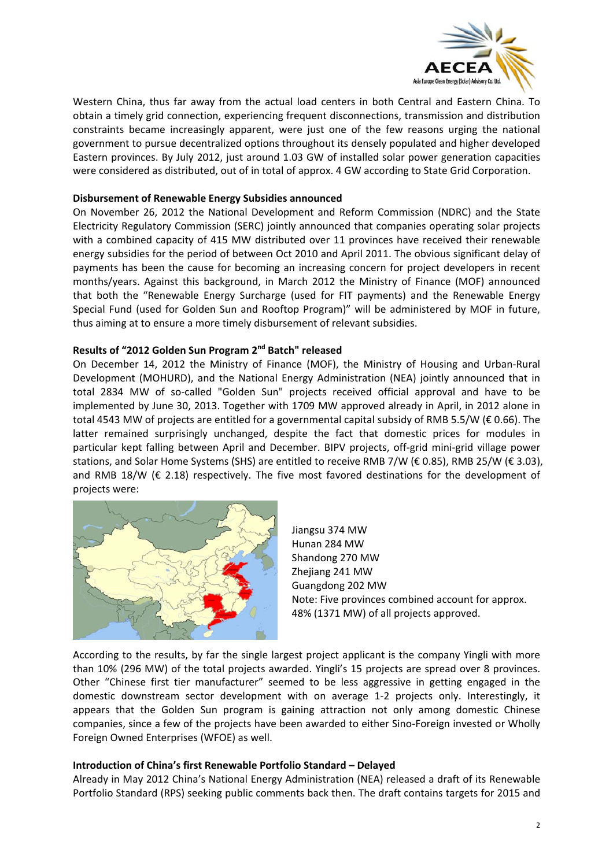

Western China, thus far away from the actual load centers in both Central and Eastern China. To obtain a timely grid connection, experiencing frequent disconnections, transmission and distribution constraints became increasingly apparent, were just one of the few reasons urging the national government to pursue decentralized options throughout its densely populated and higher developed Eastern provinces. By July 2012, just around 1.03 GW of installed solar power generation capacities were considered as distributed, out of in total of approx. 4 GW according to State Grid Corporation.

#### **Disbursement of Renewable Energy Subsidies announced**

On November 26, 2012 the National Development and Reform Commission (NDRC) and the State Electricity Regulatory Commission (SERC) jointly announced that companies operating solar projects with a combined capacity of 415 MW distributed over 11 provinces have received their renewable energy subsidies for the period of between Oct 2010 and April 2011. The obvious significant delay of payments has been the cause for becoming an increasing concern for project developers in recent months/years. Against this background, in March 2012 the Ministry of Finance (MOF) announced that both the "Renewable Energy Surcharge (used for FIT payments) and the Renewable Energy Special Fund (used for Golden Sun and Rooftop Program)" will be administered by MOF in future, thus aiming at to ensure a more timely disbursement of relevant subsidies.

### **Results of "2012 Golden Sun Program 2nd Batch" released**

On December 14, 2012 the Ministry of Finance (MOF), the Ministry of Housing and Urban‐Rural Development (MOHURD), and the National Energy Administration (NEA) jointly announced that in total 2834 MW of so-called "Golden Sun" projects received official approval and have to be implemented by June 30, 2013. Together with 1709 MW approved already in April, in 2012 alone in total 4543 MW of projects are entitled for a governmental capital subsidy of RMB 5.5/W (€ 0.66). The latter remained surprisingly unchanged, despite the fact that domestic prices for modules in particular kept falling between April and December. BIPV projects, off‐grid mini‐grid village power stations, and Solar Home Systems (SHS) are entitled to receive RMB 7/W (€ 0.85), RMB 25/W (€ 3.03), and RMB 18/W ( $\epsilon$  2.18) respectively. The five most favored destinations for the development of projects were:



Jiangsu 374 MW Hunan 284 MW Shandong 270 MW Zheijang 241 MW Guangdong 202 MW Note: Five provinces combined account for approx. 48% (1371 MW) of all projects approved.

According to the results, by far the single largest project applicant is the company Yingli with more than 10% (296 MW) of the total projects awarded. Yingli's 15 projects are spread over 8 provinces. Other "Chinese first tier manufacturer" seemed to be less aggressive in getting engaged in the domestic downstream sector development with on average 1‐2 projects only. Interestingly, it appears that the Golden Sun program is gaining attraction not only among domestic Chinese companies, since a few of the projects have been awarded to either Sino‐Foreign invested or Wholly Foreign Owned Enterprises (WFOE) as well.

#### **Introduction of China's first Renewable Portfolio Standard – Delayed**

Already in May 2012 China's National Energy Administration (NEA) released a draft of its Renewable Portfolio Standard (RPS) seeking public comments back then. The draft contains targets for 2015 and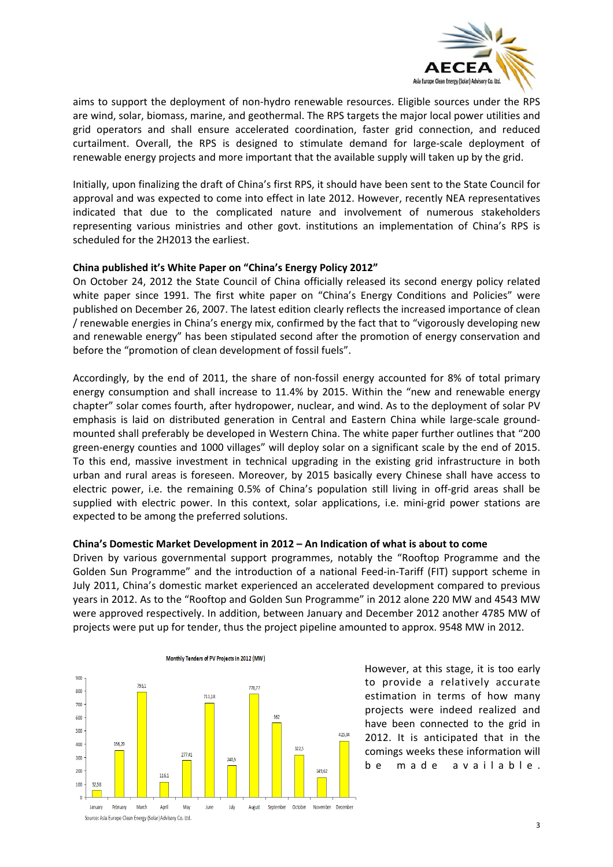

aims to support the deployment of non‐hydro renewable resources. Eligible sources under the RPS are wind, solar, biomass, marine, and geothermal. The RPS targets the major local power utilities and grid operators and shall ensure accelerated coordination, faster grid connection, and reduced curtailment. Overall, the RPS is designed to stimulate demand for large‐scale deployment of renewable energy projects and more important that the available supply will taken up by the grid.

Initially, upon finalizing the draft of China's first RPS, it should have been sent to the State Council for approval and was expected to come into effect in late 2012. However, recently NEA representatives indicated that due to the complicated nature and involvement of numerous stakeholders representing various ministries and other govt. institutions an implementation of China's RPS is scheduled for the 2H2013 the earliest.

## **China published it's White Paper on "China's Energy Policy 2012"**

On October 24, 2012 the State Council of China officially released its second energy policy related white paper since 1991. The first white paper on "China's Energy Conditions and Policies" were published on December 26, 2007. The latest edition clearly reflects the increased importance of clean / renewable energies in China's energy mix, confirmed by the fact that to "vigorously developing new and renewable energy" has been stipulated second after the promotion of energy conservation and before the "promotion of clean development of fossil fuels".

Accordingly, by the end of 2011, the share of non-fossil energy accounted for 8% of total primary energy consumption and shall increase to 11.4% by 2015. Within the "new and renewable energy chapter" solar comes fourth, after hydropower, nuclear, and wind. As to the deployment of solar PV emphasis is laid on distributed generation in Central and Eastern China while large-scale groundmounted shall preferably be developed in Western China. The white paper further outlines that "200 green‐energy counties and 1000 villages" will deploy solar on a significant scale by the end of 2015. To this end, massive investment in technical upgrading in the existing grid infrastructure in both urban and rural areas is foreseen. Moreover, by 2015 basically every Chinese shall have access to electric power, i.e. the remaining 0.5% of China's population still living in off‐grid areas shall be supplied with electric power. In this context, solar applications, i.e. mini-grid power stations are expected to be among the preferred solutions.

#### **China's Domestic Market Development in 2012 – An Indication of what is about to come**

Driven by various governmental support programmes, notably the "Rooftop Programme and the Golden Sun Programme" and the introduction of a national Feed-in-Tariff (FIT) support scheme in July 2011, China's domestic market experienced an accelerated development compared to previous years in 2012. As to the "Rooftop and Golden Sun Programme" in 2012 alone 220 MW and 4543 MW were approved respectively. In addition, between January and December 2012 another 4785 MW of projects were put up for tender, thus the project pipeline amounted to approx. 9548 MW in 2012.



Monthly Tenders of PV Projects in 2012 (MW)

However, at this stage, it is too early to provide a relatively accurate estimation in terms of how many projects were indeed realized and have been connected to the grid in 2012. It is anticipated that in the comings weeks these information will be made available.